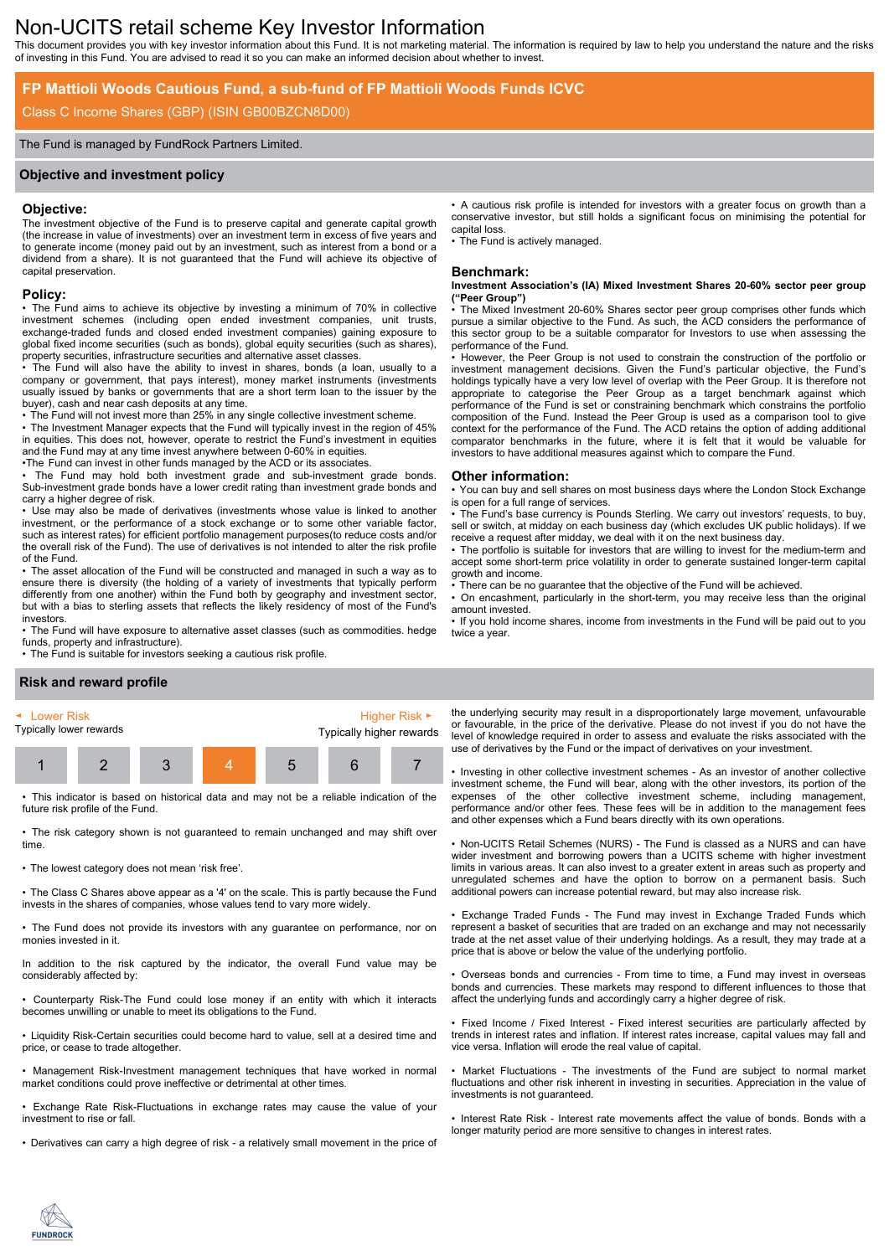# Non-UCITS retail scheme Key Investor Information

This document provides you with key investor information about this Fund. It is not marketing material. The information is required by law to help you understand the nature and the risks of investing in this Fund. You are advised to read it so you can make an informed decision about whether to invest.

### **FP Mattioli Woods Cautious Fund, a sub-fund of FP Mattioli Woods Funds ICVC**

### Class C Income Shares (GBP) (ISIN GB00BZCN8D00)

#### The Fund is managed by FundRock Partners Limited.

#### **Objective and investment policy**

#### **Objective:**

The investment objective of the Fund is to preserve capital and generate capital growth (the increase in value of investments) over an investment term in excess of five years and to generate income (money paid out by an investment, such as interest from a bond or a dividend from a share). It is not guaranteed that the Fund will achieve its objective of capital preservation.

#### **Policy:**

• The Fund aims to achieve its objective by investing a minimum of 70% in collective investment schemes (including open ended investment companies, unit trusts, exchange-traded funds and closed ended investment companies) gaining exposure to global fixed income securities (such as bonds), global equity securities (such as shares), property securities, infrastructure securities and alternative asset classes.

• The Fund will also have the ability to invest in shares, bonds (a loan, usually to a company or government, that pays interest), money market instruments (investments usually issued by banks or governments that are a short term loan to the issuer by the buyer), cash and near cash deposits at any time.

• The Fund will not invest more than 25% in any single collective investment scheme. • The Investment Manager expects that the Fund will typically invest in the region of 45% in equities. This does not, however, operate to restrict the Fund's investment in equities and the Fund may at any time invest anywhere between 0-60% in equities.

•The Fund can invest in other funds managed by the ACD or its associates.

• The Fund may hold both investment grade and sub-investment grade bonds. Sub-investment grade bonds have a lower credit rating than investment grade bonds and carry a higher degree of risk.

• Use may also be made of derivatives (investments whose value is linked to another investment, or the performance of a stock exchange or to some other variable factor, such as interest rates) for efficient portfolio management purposes(to reduce costs and/or the overall risk of the Fund). The use of derivatives is not intended to alter the risk profile of the Fund.

• The asset allocation of the Fund will be constructed and managed in such a way as to ensure there is diversity (the holding of a variety of investments that typically perform differently from one another) within the Fund both by geography and investment sector, but with a bias to sterling assets that reflects the likely residency of most of the Fund's investors.

• The Fund will have exposure to alternative asset classes (such as commodities. hedge funds, property and infrastructure).

• The Fund is suitable for investors seeking a cautious risk profile.

#### • A cautious risk profile is intended for investors with a greater focus on growth than a conservative investor, but still holds a significant focus on minimising the potential for capital loss.

The Fund is actively managed.

#### **Benchmark:**

**Investment Association's (IA) Mixed Investment Shares 20-60% sector peer group ("Peer Group")**

The Mixed Investment 20-60% Shares sector peer group comprises other funds which pursue a similar objective to the Fund. As such, the ACD considers the performance of this sector group to be a suitable comparator for Investors to use when assessing the performance of the Fund.

• However, the Peer Group is not used to constrain the construction of the portfolio or investment management decisions. Given the Fund's particular objective, the Fund's holdings typically have a very low level of overlap with the Peer Group. It is therefore not appropriate to categorise the Peer Group as a target benchmark against which performance of the Fund is set or constraining benchmark which constrains the portfolio composition of the Fund. Instead the Peer Group is used as a comparison tool to give context for the performance of the Fund. The ACD retains the option of adding additional comparator benchmarks in the future, where it is felt that it would be valuable for investors to have additional measures against which to compare the Fund.

#### **Other information:**

• You can buy and sell shares on most business days where the London Stock Exchange is open for a full range of services.

• The Fund's base currency is Pounds Sterling. We carry out investors' requests, to buy, sell or switch, at midday on each business day (which excludes UK public holidays). If we receive a request after midday, we deal with it on the next business day.

• The portfolio is suitable for investors that are willing to invest for the medium-term and accept some short-term price volatility in order to generate sustained longer-term capital growth and income.

There can be no guarantee that the objective of the Fund will be achieved.

• On encashment, particularly in the short-term, you may receive less than the original amount invested.

• If you hold income shares, income from investments in the Fund will be paid out to you twice a year.

### **Risk and reward profile**



• This indicator is based on historical data and may not be a reliable indication of the future risk profile of the Fund.

• The risk category shown is not guaranteed to remain unchanged and may shift over time.

• The lowest category does not mean 'risk free'.

• The Class C Shares above appear as a '4' on the scale. This is partly because the Fund invests in the shares of companies, whose values tend to vary more widely.

• The Fund does not provide its investors with any guarantee on performance, nor on monies invested in it.

In addition to the risk captured by the indicator, the overall Fund value may be considerably affected by:

• Counterparty Risk-The Fund could lose money if an entity with which it interacts becomes unwilling or unable to meet its obligations to the Fund.

• Liquidity Risk-Certain securities could become hard to value, sell at a desired time and price, or cease to trade altogether.

• Management Risk-Investment management techniques that have worked in normal market conditions could prove ineffective or detrimental at other times.

• Exchange Rate Risk-Fluctuations in exchange rates may cause the value of your investment to rise or fall.

• Derivatives can carry a high degree of risk - a relatively small movement in the price of

the underlying security may result in a disproportionately large movement, unfavourable or favourable, in the price of the derivative. Please do not invest if you do not have the level of knowledge required in order to assess and evaluate the risks associated with the use of derivatives by the Fund or the impact of derivatives on your investment.

• Investing in other collective investment schemes - As an investor of another collective investment scheme, the Fund will bear, along with the other investors, its portion of the expenses of the other collective investment scheme, including management, performance and/or other fees. These fees will be in addition to the management fees and other expenses which a Fund bears directly with its own operations.

• Non-UCITS Retail Schemes (NURS) - The Fund is classed as a NURS and can have wider investment and borrowing powers than a UCITS scheme with higher investment limits in various areas. It can also invest to a greater extent in areas such as property and unregulated schemes and have the option to borrow on a permanent basis. Such additional powers can increase potential reward, but may also increase risk.

• Exchange Traded Funds - The Fund may invest in Exchange Traded Funds which represent a basket of securities that are traded on an exchange and may not necessarily trade at the net asset value of their underlying holdings. As a result, they may trade at a price that is above or below the value of the underlying portfolio.

• Overseas bonds and currencies - From time to time, a Fund may invest in overseas bonds and currencies. These markets may respond to different influences to those that affect the underlying funds and accordingly carry a higher degree of risk.

• Fixed Income / Fixed Interest - Fixed interest securities are particularly affected by trends in interest rates and inflation. If interest rates increase, capital values may fall and vice versa. Inflation will erode the real value of capital.

Market Fluctuations - The investments of the Fund are subject to normal market fluctuations and other risk inherent in investing in securities. Appreciation in the value of investments is not guaranteed.

• Interest Rate Risk - Interest rate movements affect the value of bonds. Bonds with a longer maturity period are more sensitive to changes in interest rates.